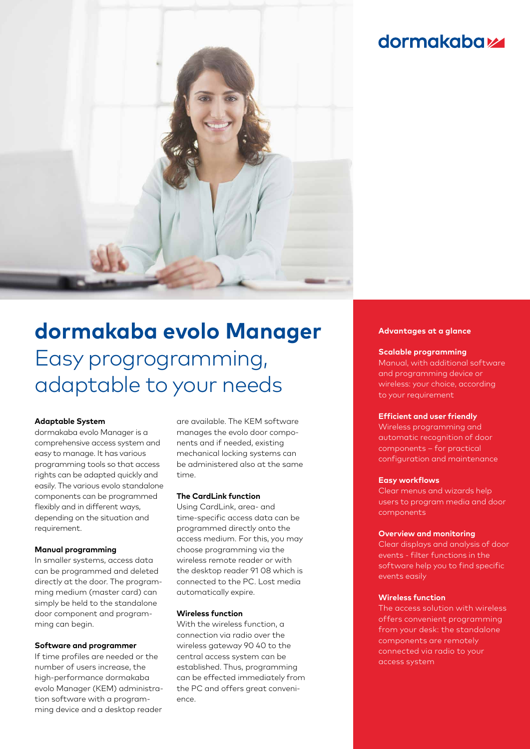# **dormakabazz**



# **dormakaba evolo Manager**  Easy progrogramming, adaptable to your needs

#### **Adaptable System**

dormakaba evolo Manager is a comprehensive access system and easy to manage. It has various programming tools so that access rights can be adapted quickly and easily. The various evolo standalone components can be programmed flexibly and in different ways, depending on the situation and requirement.

#### **Manual programming**

In smaller systems, access data can be programmed and deleted directly at the door. The programming medium (master card) can simply be held to the standalone door component and programming can begin.

#### **Software and programmer**

If time profiles are needed or the number of users increase, the high-performance dormakaba evolo Manager (KEM) administration software with a programming device and a desktop reader

are available. The KEM software manages the evolo door components and if needed, existing mechanical locking systems can be administered also at the same time.

#### **The CardLink function**

Using CardLink, area- and time-specific access data can be programmed directly onto the access medium. For this, you may choose programming via the wireless remote reader or with the desktop reader 91 08 which is connected to the PC. Lost media automatically expire.

#### **Wireless function**

With the wireless function, a connection via radio over the wireless gateway 90 40 to the central access system can be established. Thus, programming can be effected immediately from the PC and offers great convenience.

#### **Advantages at a glance**

#### **Scalable programming**

Manual, with additional software and programming device or wireless: your choice, according to your requirement

#### **Efficient and user friendly**

Wireless programming and automatic recognition of door components – for practical configuration and maintenance

#### **Easy workflows**

Clear menus and wizards help users to program media and door components

#### **Overview and monitoring**

Clear displays and analysis of door events - filter functions in the software help you to find specific events easily

#### **Wireless function**

The access solution with wireless offers convenient programming from your desk: the standalone components are remotely connected via radio to your access system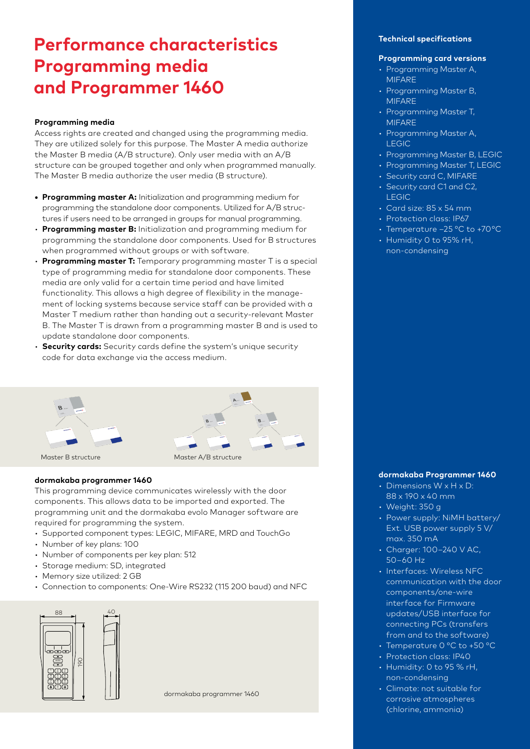# **Performance characteristics Programming media and Programmer 1460**

# **Programming media**

Access rights are created and changed using the programming media. They are utilized solely for this purpose. The Master A media authorize the Master B media (A/B structure). Only user media with an A/B structure can be grouped together and only when programmed manually. The Master B media authorize the user media (B structure).

- **• Programming master A:** Initialization and programming medium for programming the standalone door components. Utilized for A/B structures if users need to be arranged in groups for manual programming.
- **Programming master B:** Initialization and programming medium for programming the standalone door components. Used for B structures when programmed without groups or with software.
- **Programming master T:** Temporary programming master T is a special type of programming media for standalone door components. These media are only valid for a certain time period and have limited functionality. This allows a high degree of flexibility in the management of locking systems because service staff can be provided with a Master T medium rather than handing out a security-relevant Master B. The Master T is drawn from a programming master B and is used to update standalone door components.
- **Security cards:** Security cards define the system's unique security code for data exchange via the access medium.



#### **dormakaba programmer 1460**

This programming device communicates wirelessly with the door components. This allows data to be imported and exported. The programming unit and the dormakaba evolo Manager software are required for programming the system.

- Supported component types: LEGIC, MIFARE, MRD and TouchGo
- Number of key plans: 100
- Number of components per key plan: 512
- Storage medium: SD, integrated
- Memory size utilized: 2 GB
- Connection to components: One-Wire RS232 (115 200 baud) and NFC



#### **Technical specifications**

### **Programming card versions**

- Programming Master A, MIFARE
- Programming Master B, MIFARE
- Programming Master T, MIFARE
- Programming Master A, LEGIC
- Programming Master B, LEGIC
- Programming Master T, LEGIC
- Security card C, MIFARE
- Security card C1 and C2, LEGIC
- Card size: 85 x 54 mm
- Protection class: IP67
- Temperature –25 °C to +70 °C
- Humidity 0 to 95% rH, non-condensing

### **dormakaba Programmer 1460**

- Dimensions W x H x D: 88 x 190 x 40 mm
- Weight: 350 g
- Power supply: NiMH battery/ Ext. USB power supply 5 V/ max. 350 mA
- Charger: 100–240 V AC, 50–60 Hz
- Interfaces: Wireless NFC communication with the door components/one-wire interface for Firmware updates/USB interface for connecting PCs (transfers from and to the software)
- Temperature 0 °C to +50 °C
- Protection class: IP40
- Humidity: 0 to 95 % rH, non-condensing
- Climate: not suitable for corrosive atmospheres (chlorine, ammonia)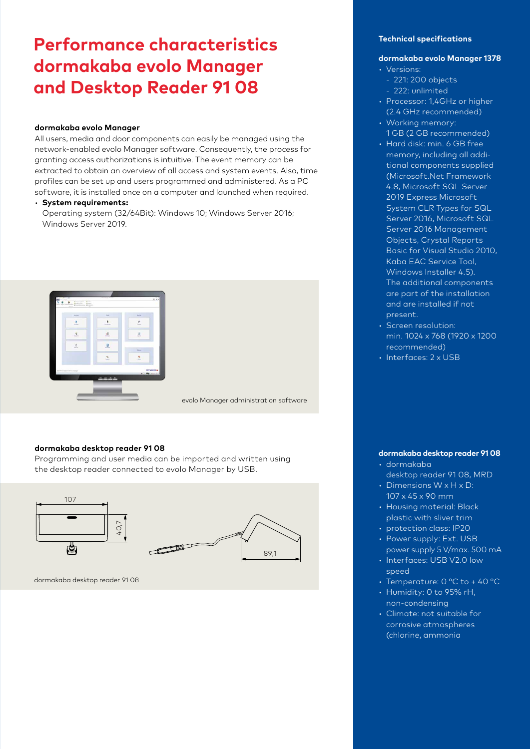# **Performance characteristics dormakaba evolo Manager and Desktop Reader 91 08**

## **dormakaba evolo Manager**

All users, media and door components can easily be managed using the network-enabled evolo Manager software. Consequently, the process for granting access authorizations is intuitive. The event memory can be extracted to obtain an overview of all access and system events. Also, time profiles can be set up and users programmed and administered. As a PC software, it is installed once on a computer and launched when required.

#### • **System requirements:**

Operating system (32/64Bit): Windows 10; Windows Server 2016; Windows Server 2019.



evolo Manager administration software

#### **dormakaba desktop reader 91 08**

Programming and user media can be imported and written using the desktop reader connected to evolo Manager by USB.



dormakaba desktop reader 91 08

### **Technical specifications**

# **dormakaba evolo Manager 1378**

- Versions:
	- 221: 200 objects
	- 222: unlimited
- Processor: 1,4GHz or higher (2.4 GHz recommended)
- Working memory: 1 GB (2 GB recommended)
- Hard disk: min. 6 GB free memory, including all additional components supplied (Microsoft.Net Framework 4.8, Microsoft SQL Server 2019 Express Microsoft System CLR Types for SQL Server 2016, Microsoft SQL Server 2016 Management Objects, Crystal Reports Basic for Visual Studio 2010, Kaba EAC Service Tool, Windows Installer 4.5). The additional components are part of the installation and are installed if not present.
- Screen resolution: min. 1024 x 768 (1920 x 1200 recommended)
- Interfaces: 2 x USB

# **dormakaba desktop reader 91 08**

- dormakaba desktop reader 91 08, MRD
- Dimensions W x H x D: 107 x 45 x 90 mm
- Housing material: Black plastic with sliver trim
- protection class: IP20
- Power supply: Ext. USB power supply 5 V/max. 500 mA
- Interfaces: USB V2.0 low speed
- Temperature: 0 °C to + 40 °C
- Humidity: 0 to 95% rH, non-condensing
- Climate: not suitable for corrosive atmospheres (chlorine, ammonia